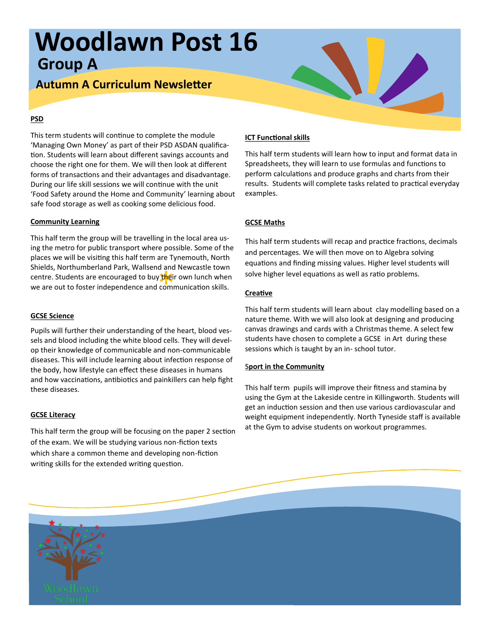# **Woodlawn Post 16 Group A**

# **Autumn A Curriculum Newsletter**

### **PSD**

This term students will continue to complete the module 'Managing Own Money' as part of their PSD ASDAN qualification. Students will learn about different savings accounts and choose the right one for them. We will then look at different forms of transactions and their advantages and disadvantage. During our life skill sessions we will continue with the unit 'Food Safety around the Home and Community' learning about safe food storage as well as cooking some delicious food.

## **Community Learning**

Shields, Northamberland Park, wallselld and Newcastle town<br>centre. Students are encouraged to buy their own lunch when<br>we are out to foster independence and communication skills. This half term the group will be travelling in the local area using the metro for public transport where possible. Some of the places we will be visiting this half term are Tynemouth, North Shields, Northumberland Park, Wallsend and Newcastle town we are out to foster independence and communication skills.

# **GCSE Science**

Pupils will further their understanding of the heart, blood vessels and blood including the white blood cells. They will develop their knowledge of communicable and non-communicable diseases. This will include learning about infection response of the body, how lifestyle can effect these diseases in humans and how vaccinations, antibiotics and painkillers can help fight these diseases.

### **GCSE Literacy**

This half term the group will be focusing on the paper 2 section of the exam. We will be studying various non-fiction texts which share a common theme and developing non-fiction writing skills for the extended writing question.

# **ICT Functional skills**

This half term students will learn how to input and format data in Spreadsheets, they will learn to use formulas and functions to perform calculations and produce graphs and charts from their results. Students will complete tasks related to practical everyday examples.

# **GCSE Maths**

This half term students will recap and practice fractions, decimals and percentages. We will then move on to Algebra solving equations and finding missing values. Higher level students will solve higher level equations as well as ratio problems.

## **Creative**

This half term students will learn about clay modelling based on a nature theme. With we will also look at designing and producing canvas drawings and cards with a Christmas theme. A select few students have chosen to complete a GCSE in Art during these sessions which is taught by an in- school tutor.

### **Sport in the Community**

This half term pupils will improve their fitness and stamina by using the Gym at the Lakeside centre in Killingworth. Students will get an induction session and then use various cardiovascular and weight equipment independently. North Tyneside staff is available at the Gym to advise students on workout programmes.